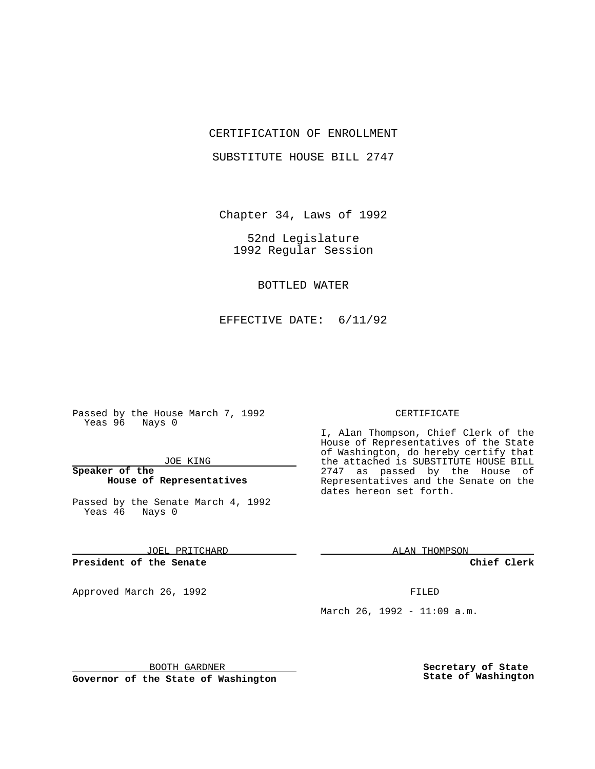### CERTIFICATION OF ENROLLMENT

SUBSTITUTE HOUSE BILL 2747

Chapter 34, Laws of 1992

52nd Legislature 1992 Regular Session

BOTTLED WATER

EFFECTIVE DATE: 6/11/92

Passed by the House March 7, 1992 Yeas 96 Nays 0

JOE KING

**Speaker of the House of Representatives**

Passed by the Senate March 4, 1992 Yeas 46 Nays 0

JOEL PRITCHARD

**President of the Senate**

Approved March 26, 1992 **FILED** 

#### CERTIFICATE

I, Alan Thompson, Chief Clerk of the House of Representatives of the State of Washington, do hereby certify that the attached is SUBSTITUTE HOUSE BILL 2747 as passed by the House of Representatives and the Senate on the dates hereon set forth.

ALAN THOMPSON

**Chief Clerk**

March 26, 1992 - 11:09 a.m.

BOOTH GARDNER

**Governor of the State of Washington**

**Secretary of State State of Washington**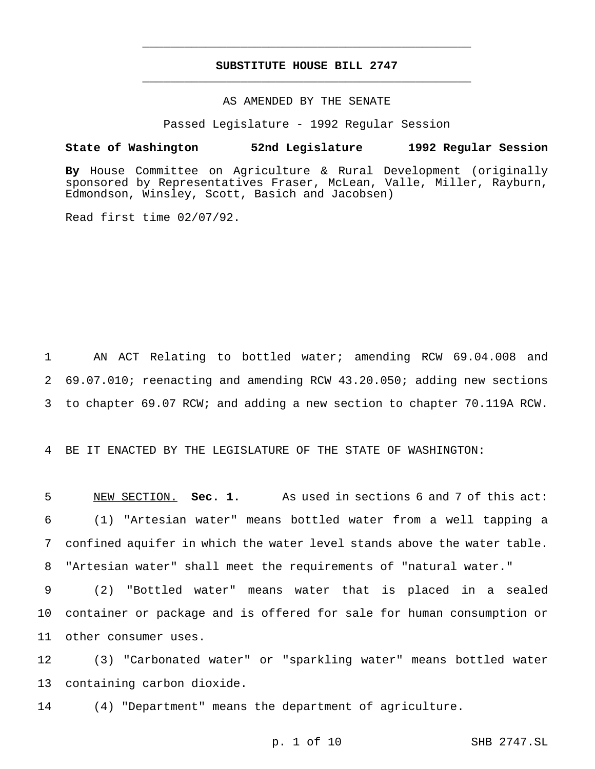# **SUBSTITUTE HOUSE BILL 2747** \_\_\_\_\_\_\_\_\_\_\_\_\_\_\_\_\_\_\_\_\_\_\_\_\_\_\_\_\_\_\_\_\_\_\_\_\_\_\_\_\_\_\_\_\_\_\_

\_\_\_\_\_\_\_\_\_\_\_\_\_\_\_\_\_\_\_\_\_\_\_\_\_\_\_\_\_\_\_\_\_\_\_\_\_\_\_\_\_\_\_\_\_\_\_

## AS AMENDED BY THE SENATE

Passed Legislature - 1992 Regular Session

#### **State of Washington 52nd Legislature 1992 Regular Session**

**By** House Committee on Agriculture & Rural Development (originally sponsored by Representatives Fraser, McLean, Valle, Miller, Rayburn, Edmondson, Winsley, Scott, Basich and Jacobsen)

Read first time 02/07/92.

1 AN ACT Relating to bottled water; amending RCW 69.04.008 and 2 69.07.010; reenacting and amending RCW 43.20.050; adding new sections 3 to chapter 69.07 RCW; and adding a new section to chapter 70.119A RCW.

4 BE IT ENACTED BY THE LEGISLATURE OF THE STATE OF WASHINGTON:

 NEW SECTION. **Sec. 1.** As used in sections 6 and 7 of this act: (1) "Artesian water" means bottled water from a well tapping a confined aquifer in which the water level stands above the water table. "Artesian water" shall meet the requirements of "natural water."

9 (2) "Bottled water" means water that is placed in a sealed 10 container or package and is offered for sale for human consumption or 11 other consumer uses.

12 (3) "Carbonated water" or "sparkling water" means bottled water 13 containing carbon dioxide.

14 (4) "Department" means the department of agriculture.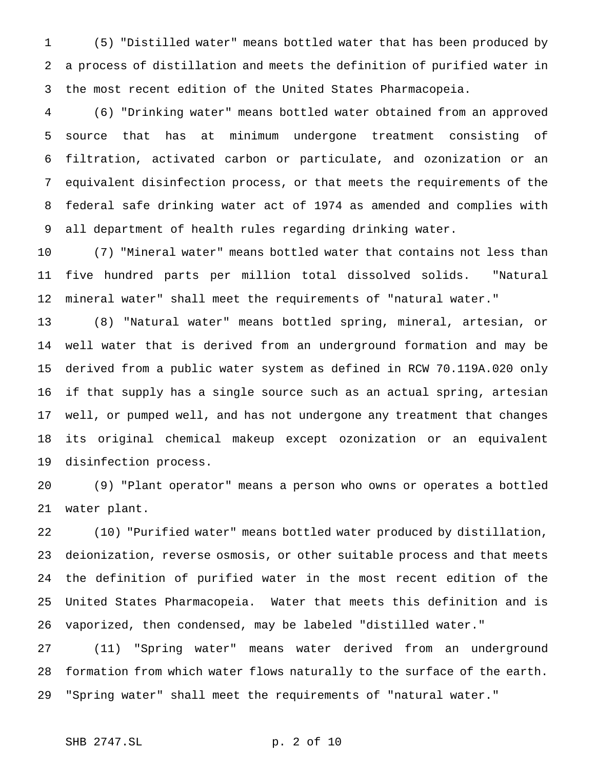(5) "Distilled water" means bottled water that has been produced by a process of distillation and meets the definition of purified water in the most recent edition of the United States Pharmacopeia.

 (6) "Drinking water" means bottled water obtained from an approved source that has at minimum undergone treatment consisting of filtration, activated carbon or particulate, and ozonization or an equivalent disinfection process, or that meets the requirements of the federal safe drinking water act of 1974 as amended and complies with all department of health rules regarding drinking water.

 (7) "Mineral water" means bottled water that contains not less than five hundred parts per million total dissolved solids. "Natural mineral water" shall meet the requirements of "natural water."

 (8) "Natural water" means bottled spring, mineral, artesian, or well water that is derived from an underground formation and may be derived from a public water system as defined in RCW 70.119A.020 only if that supply has a single source such as an actual spring, artesian well, or pumped well, and has not undergone any treatment that changes its original chemical makeup except ozonization or an equivalent disinfection process.

 (9) "Plant operator" means a person who owns or operates a bottled water plant.

 (10) "Purified water" means bottled water produced by distillation, deionization, reverse osmosis, or other suitable process and that meets the definition of purified water in the most recent edition of the United States Pharmacopeia. Water that meets this definition and is vaporized, then condensed, may be labeled "distilled water."

 (11) "Spring water" means water derived from an underground formation from which water flows naturally to the surface of the earth. "Spring water" shall meet the requirements of "natural water."

## SHB 2747.SL p. 2 of 10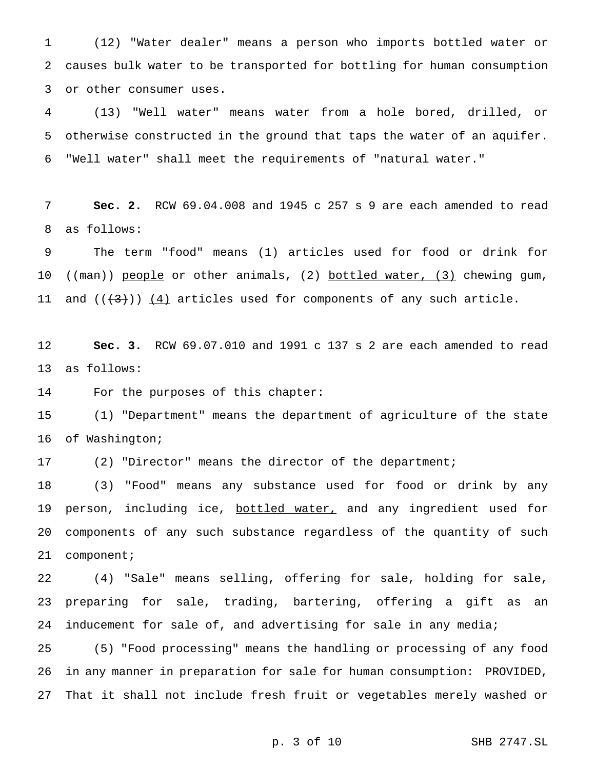(12) "Water dealer" means a person who imports bottled water or causes bulk water to be transported for bottling for human consumption or other consumer uses.

 (13) "Well water" means water from a hole bored, drilled, or otherwise constructed in the ground that taps the water of an aquifer. "Well water" shall meet the requirements of "natural water."

 **Sec. 2.** RCW 69.04.008 and 1945 c 257 s 9 are each amended to read as follows:

 The term "food" means (1) articles used for food or drink for 10 ((man)) people or other animals, (2) bottled water, (3) chewing gum, 11 and  $((+3))$   $(4)$  articles used for components of any such article.

 **Sec. 3.** RCW 69.07.010 and 1991 c 137 s 2 are each amended to read as follows:

For the purposes of this chapter:

 (1) "Department" means the department of agriculture of the state of Washington;

(2) "Director" means the director of the department;

 (3) "Food" means any substance used for food or drink by any 19 person, including ice, bottled water, and any ingredient used for components of any such substance regardless of the quantity of such component;

 (4) "Sale" means selling, offering for sale, holding for sale, preparing for sale, trading, bartering, offering a gift as an 24 inducement for sale of, and advertising for sale in any media;

 (5) "Food processing" means the handling or processing of any food in any manner in preparation for sale for human consumption: PROVIDED, That it shall not include fresh fruit or vegetables merely washed or

p. 3 of 10 SHB 2747.SL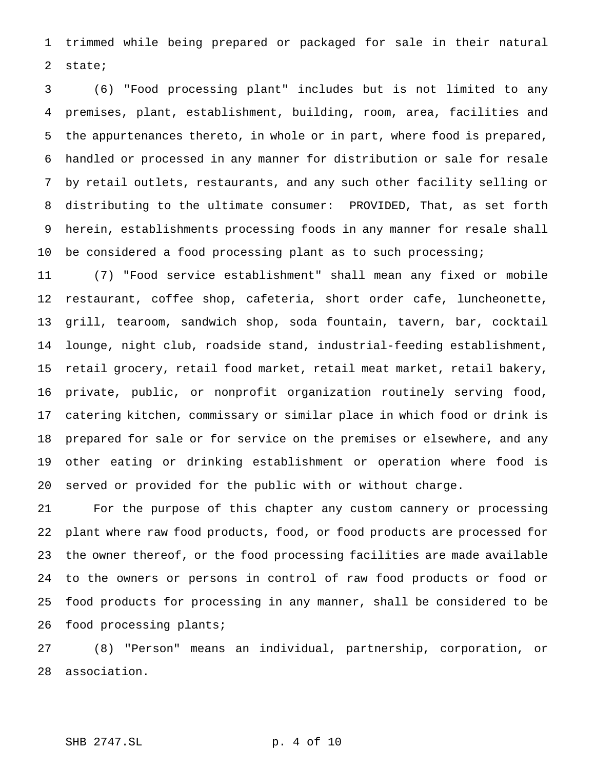trimmed while being prepared or packaged for sale in their natural state;

 (6) "Food processing plant" includes but is not limited to any premises, plant, establishment, building, room, area, facilities and the appurtenances thereto, in whole or in part, where food is prepared, handled or processed in any manner for distribution or sale for resale by retail outlets, restaurants, and any such other facility selling or distributing to the ultimate consumer: PROVIDED, That, as set forth herein, establishments processing foods in any manner for resale shall be considered a food processing plant as to such processing;

 (7) "Food service establishment" shall mean any fixed or mobile restaurant, coffee shop, cafeteria, short order cafe, luncheonette, grill, tearoom, sandwich shop, soda fountain, tavern, bar, cocktail lounge, night club, roadside stand, industrial-feeding establishment, retail grocery, retail food market, retail meat market, retail bakery, private, public, or nonprofit organization routinely serving food, catering kitchen, commissary or similar place in which food or drink is prepared for sale or for service on the premises or elsewhere, and any other eating or drinking establishment or operation where food is served or provided for the public with or without charge.

 For the purpose of this chapter any custom cannery or processing plant where raw food products, food, or food products are processed for the owner thereof, or the food processing facilities are made available to the owners or persons in control of raw food products or food or food products for processing in any manner, shall be considered to be food processing plants;

 (8) "Person" means an individual, partnership, corporation, or association.

### SHB 2747.SL p. 4 of 10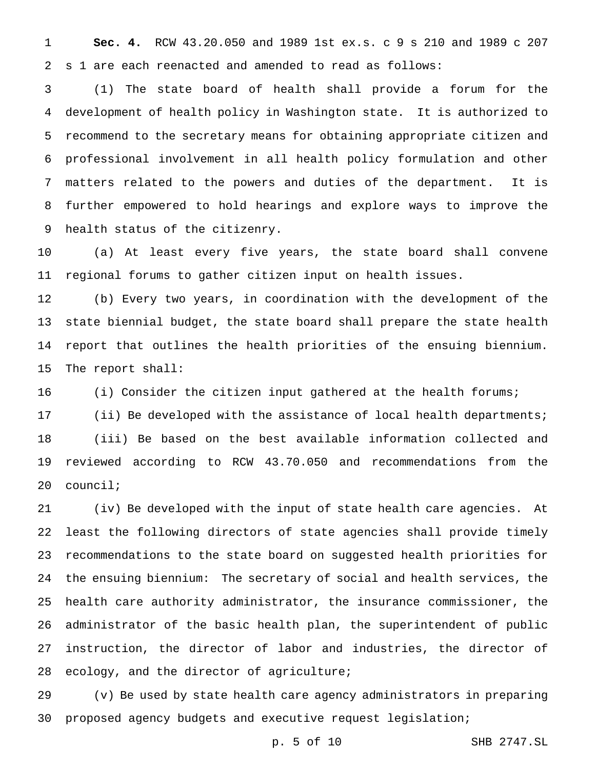**Sec. 4.** RCW 43.20.050 and 1989 1st ex.s. c 9 s 210 and 1989 c 207 s 1 are each reenacted and amended to read as follows:

 (1) The state board of health shall provide a forum for the development of health policy in Washington state. It is authorized to recommend to the secretary means for obtaining appropriate citizen and professional involvement in all health policy formulation and other matters related to the powers and duties of the department. It is further empowered to hold hearings and explore ways to improve the health status of the citizenry.

 (a) At least every five years, the state board shall convene regional forums to gather citizen input on health issues.

 (b) Every two years, in coordination with the development of the state biennial budget, the state board shall prepare the state health report that outlines the health priorities of the ensuing biennium. The report shall:

16 (i) Consider the citizen input gathered at the health forums;

 (ii) Be developed with the assistance of local health departments; (iii) Be based on the best available information collected and reviewed according to RCW 43.70.050 and recommendations from the council;

 (iv) Be developed with the input of state health care agencies. At least the following directors of state agencies shall provide timely recommendations to the state board on suggested health priorities for the ensuing biennium: The secretary of social and health services, the health care authority administrator, the insurance commissioner, the administrator of the basic health plan, the superintendent of public instruction, the director of labor and industries, the director of ecology, and the director of agriculture;

 (v) Be used by state health care agency administrators in preparing proposed agency budgets and executive request legislation;

p. 5 of 10 SHB 2747.SL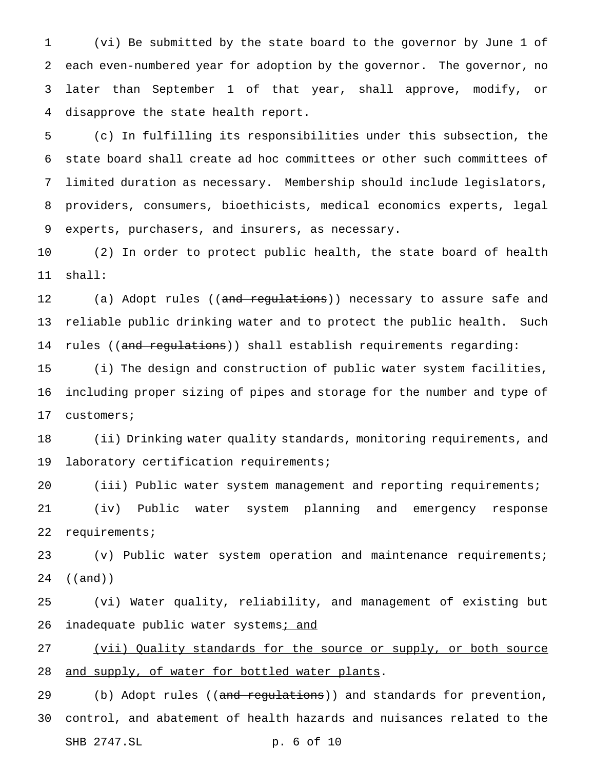(vi) Be submitted by the state board to the governor by June 1 of each even-numbered year for adoption by the governor. The governor, no later than September 1 of that year, shall approve, modify, or disapprove the state health report.

 (c) In fulfilling its responsibilities under this subsection, the state board shall create ad hoc committees or other such committees of limited duration as necessary. Membership should include legislators, providers, consumers, bioethicists, medical economics experts, legal experts, purchasers, and insurers, as necessary.

 (2) In order to protect public health, the state board of health shall:

12 (a) Adopt rules ((and regulations)) necessary to assure safe and reliable public drinking water and to protect the public health. Such 14 rules ((and regulations)) shall establish requirements regarding:

 (i) The design and construction of public water system facilities, including proper sizing of pipes and storage for the number and type of customers;

 (ii) Drinking water quality standards, monitoring requirements, and laboratory certification requirements;

 (iii) Public water system management and reporting requirements; (iv) Public water system planning and emergency response requirements;

 (v) Public water system operation and maintenance requirements; 24 ((<del>and</del>))

 (vi) Water quality, reliability, and management of existing but 26 inadequate public water systems; and

 (vii) Quality standards for the source or supply, or both source 28 and supply, of water for bottled water plants.

29 (b) Adopt rules ((and regulations)) and standards for prevention, control, and abatement of health hazards and nuisances related to the SHB 2747.SL p. 6 of 10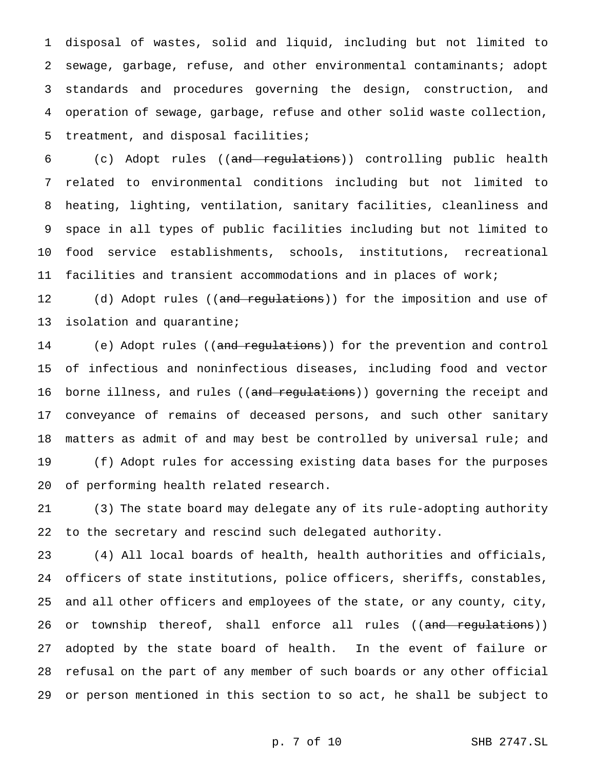disposal of wastes, solid and liquid, including but not limited to sewage, garbage, refuse, and other environmental contaminants; adopt standards and procedures governing the design, construction, and operation of sewage, garbage, refuse and other solid waste collection, treatment, and disposal facilities;

 (c) Adopt rules ((and regulations)) controlling public health related to environmental conditions including but not limited to heating, lighting, ventilation, sanitary facilities, cleanliness and space in all types of public facilities including but not limited to food service establishments, schools, institutions, recreational facilities and transient accommodations and in places of work;

12 (d) Adopt rules ((<del>and regulations</del>)) for the imposition and use of isolation and quarantine;

14 (e) Adopt rules ((and regulations)) for the prevention and control of infectious and noninfectious diseases, including food and vector 16 borne illness, and rules ((and regulations)) governing the receipt and conveyance of remains of deceased persons, and such other sanitary matters as admit of and may best be controlled by universal rule; and (f) Adopt rules for accessing existing data bases for the purposes of performing health related research.

 (3) The state board may delegate any of its rule-adopting authority to the secretary and rescind such delegated authority.

 (4) All local boards of health, health authorities and officials, officers of state institutions, police officers, sheriffs, constables, and all other officers and employees of the state, or any county, city, 26 or township thereof, shall enforce all rules ((and regulations)) adopted by the state board of health. In the event of failure or refusal on the part of any member of such boards or any other official or person mentioned in this section to so act, he shall be subject to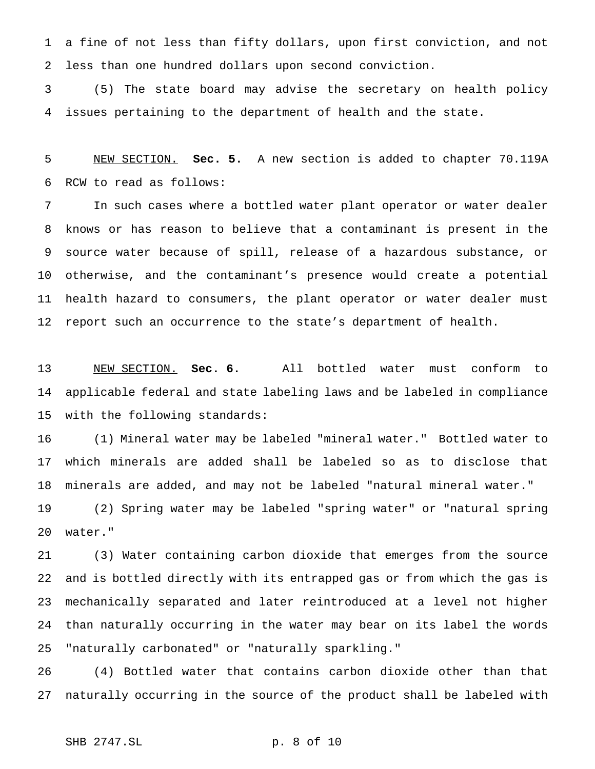a fine of not less than fifty dollars, upon first conviction, and not less than one hundred dollars upon second conviction.

 (5) The state board may advise the secretary on health policy issues pertaining to the department of health and the state.

 NEW SECTION. **Sec. 5.** A new section is added to chapter 70.119A RCW to read as follows:

 In such cases where a bottled water plant operator or water dealer knows or has reason to believe that a contaminant is present in the source water because of spill, release of a hazardous substance, or otherwise, and the contaminant's presence would create a potential health hazard to consumers, the plant operator or water dealer must report such an occurrence to the state's department of health.

 NEW SECTION. **Sec. 6.** All bottled water must conform to applicable federal and state labeling laws and be labeled in compliance with the following standards:

 (1) Mineral water may be labeled "mineral water." Bottled water to which minerals are added shall be labeled so as to disclose that minerals are added, and may not be labeled "natural mineral water."

 (2) Spring water may be labeled "spring water" or "natural spring water."

 (3) Water containing carbon dioxide that emerges from the source and is bottled directly with its entrapped gas or from which the gas is mechanically separated and later reintroduced at a level not higher than naturally occurring in the water may bear on its label the words "naturally carbonated" or "naturally sparkling."

 (4) Bottled water that contains carbon dioxide other than that naturally occurring in the source of the product shall be labeled with

# SHB 2747.SL p. 8 of 10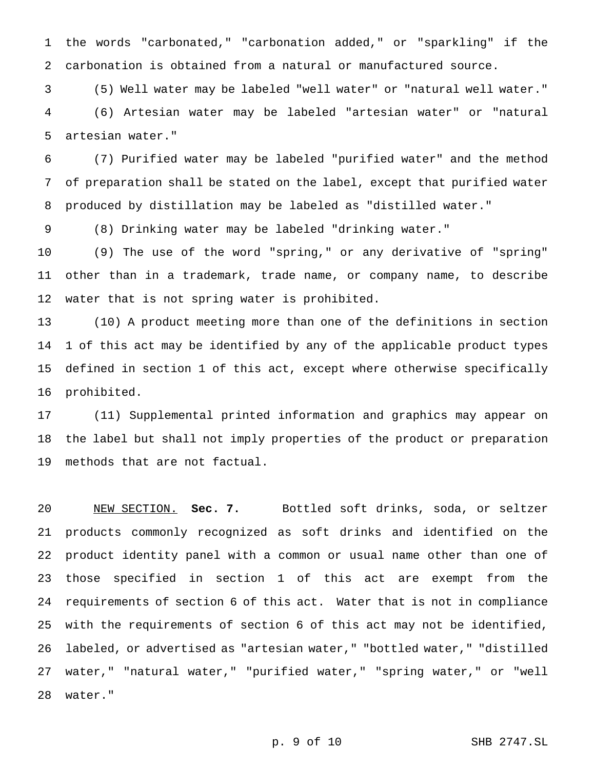the words "carbonated," "carbonation added," or "sparkling" if the carbonation is obtained from a natural or manufactured source.

 (5) Well water may be labeled "well water" or "natural well water." (6) Artesian water may be labeled "artesian water" or "natural artesian water."

 (7) Purified water may be labeled "purified water" and the method of preparation shall be stated on the label, except that purified water produced by distillation may be labeled as "distilled water."

(8) Drinking water may be labeled "drinking water."

 (9) The use of the word "spring," or any derivative of "spring" other than in a trademark, trade name, or company name, to describe water that is not spring water is prohibited.

 (10) A product meeting more than one of the definitions in section 1 of this act may be identified by any of the applicable product types defined in section 1 of this act, except where otherwise specifically prohibited.

 (11) Supplemental printed information and graphics may appear on the label but shall not imply properties of the product or preparation methods that are not factual.

 NEW SECTION. **Sec. 7.** Bottled soft drinks, soda, or seltzer products commonly recognized as soft drinks and identified on the product identity panel with a common or usual name other than one of those specified in section 1 of this act are exempt from the requirements of section 6 of this act. Water that is not in compliance with the requirements of section 6 of this act may not be identified, labeled, or advertised as "artesian water," "bottled water," "distilled water," "natural water," "purified water," "spring water," or "well water."